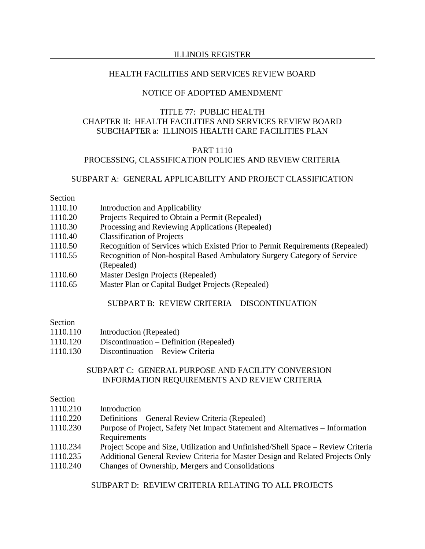#### HEALTH FACILITIES AND SERVICES REVIEW BOARD

#### NOTICE OF ADOPTED AMENDMENT

## TITLE 77: PUBLIC HEALTH CHAPTER II: HEALTH FACILITIES AND SERVICES REVIEW BOARD SUBCHAPTER a: ILLINOIS HEALTH CARE FACILITIES PLAN

#### PART 1110

# PROCESSING, CLASSIFICATION POLICIES AND REVIEW CRITERIA

#### SUBPART A: GENERAL APPLICABILITY AND PROJECT CLASSIFICATION

#### Section

- 1110.10 Introduction and Applicability
- 1110.20 Projects Required to Obtain a Permit (Repealed)
- 1110.30 Processing and Reviewing Applications (Repealed)
- 1110.40 Classification of Projects
- 1110.50 Recognition of Services which Existed Prior to Permit Requirements (Repealed)
- 1110.55 Recognition of Non-hospital Based Ambulatory Surgery Category of Service (Repealed)
- 1110.60 Master Design Projects (Repealed)
- 1110.65 Master Plan or Capital Budget Projects (Repealed)

#### SUBPART B: REVIEW CRITERIA – DISCONTINUATION

#### Section

- 1110.120 Discontinuation Definition (Repealed)
- 1110.130 Discontinuation Review Criteria

## SUBPART C: GENERAL PURPOSE AND FACILITY CONVERSION – INFORMATION REQUIREMENTS AND REVIEW CRITERIA

#### Section

| 1110.210 | Introduction                                                                     |
|----------|----------------------------------------------------------------------------------|
| 1110.220 | Definitions – General Review Criteria (Repealed)                                 |
| 1110.230 | Purpose of Project, Safety Net Impact Statement and Alternatives – Information   |
|          | Requirements                                                                     |
| 1110.234 | Project Scope and Size, Utilization and Unfinished/Shell Space – Review Criteria |
| 1110.235 | Additional General Review Criteria for Master Design and Related Projects Only   |

1110.240 Changes of Ownership, Mergers and Consolidations

SUBPART D: REVIEW CRITERIA RELATING TO ALL PROJECTS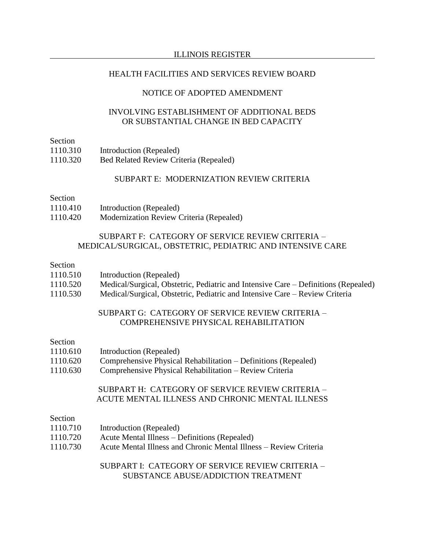## HEALTH FACILITIES AND SERVICES REVIEW BOARD

# NOTICE OF ADOPTED AMENDMENT

## INVOLVING ESTABLISHMENT OF ADDITIONAL BEDS OR SUBSTANTIAL CHANGE IN BED CAPACITY

#### Section

| 1110.310 | Introduction (Repealed)                |
|----------|----------------------------------------|
| 1110.320 | Bed Related Review Criteria (Repealed) |

## SUBPART E: MODERNIZATION REVIEW CRITERIA

#### Section

| 1110.410 | Introduction (Repealed)                  |
|----------|------------------------------------------|
| 1110.420 | Modernization Review Criteria (Repealed) |

## SUBPART F: CATEGORY OF SERVICE REVIEW CRITERIA – MEDICAL/SURGICAL, OBSTETRIC, PEDIATRIC AND INTENSIVE CARE

#### Section

| 1110.510           | Introduction (Repealed)                                                                                                                                                                                                                                                                                  |
|--------------------|----------------------------------------------------------------------------------------------------------------------------------------------------------------------------------------------------------------------------------------------------------------------------------------------------------|
| 1110.520           | Medical/Surgical, Obstetric, Pediatric and Intensive Care – Definitions (Repealed)                                                                                                                                                                                                                       |
| 1110 $F \cap \cap$ | $M_{\odot}$ $1_{\odot}$ $1_{\odot}$ $1_{\odot}$ $1_{\odot}$ $1_{\odot}$ $1_{\odot}$ $1_{\odot}$ $1_{\odot}$ $1_{\odot}$ $1_{\odot}$ $1_{\odot}$ $1_{\odot}$ $1_{\odot}$ $1_{\odot}$ $1_{\odot}$ $1_{\odot}$ $1_{\odot}$ $1_{\odot}$ $1_{\odot}$ $1_{\odot}$ $1_{\odot}$ $1_{\odot}$ $1_{\odot}$ $1_{\od$ |

1110.530 Medical/Surgical, Obstetric, Pediatric and Intensive Care – Review Criteria

# SUBPART G: CATEGORY OF SERVICE REVIEW CRITERIA – COMPREHENSIVE PHYSICAL REHABILITATION

## Section

| 1110.610 | Introduction (Repealed)                                                                             |
|----------|-----------------------------------------------------------------------------------------------------|
| 1110.620 | Comprehensive Physical Rehabilitation – Definitions (Repealed)                                      |
| 1110.630 | Comprehensive Physical Rehabilitation - Review Criteria                                             |
|          | SUBPART H: CATEGORY OF SERVICE REVIEW CRITERIA -<br>ACUTE MENTAL ILLNESS AND CHRONIC MENTAL ILLNESS |

#### Section

- 1110.720 Acute Mental Illness Definitions (Repealed)
- 1110.730 Acute Mental Illness and Chronic Mental Illness Review Criteria

SUBPART I: CATEGORY OF SERVICE REVIEW CRITERIA – SUBSTANCE ABUSE/ADDICTION TREATMENT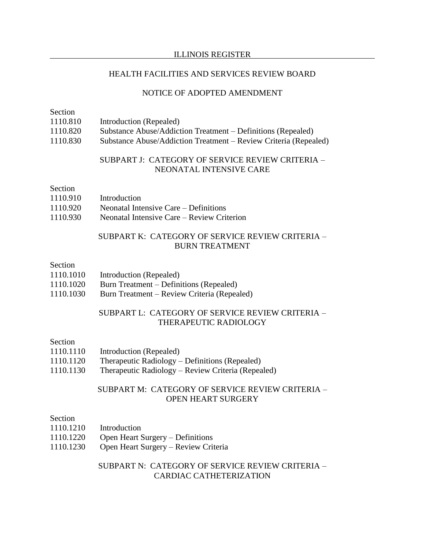## HEALTH FACILITIES AND SERVICES REVIEW BOARD

# NOTICE OF ADOPTED AMENDMENT

| Section  |                                                                  |
|----------|------------------------------------------------------------------|
| 1110.810 | Introduction (Repealed)                                          |
| 1110.820 | Substance Abuse/Addiction Treatment – Definitions (Repealed)     |
| 1110.830 | Substance Abuse/Addiction Treatment – Review Criteria (Repealed) |
|          |                                                                  |

## SUBPART J: CATEGORY OF SERVICE REVIEW CRITERIA – NEONATAL INTENSIVE CARE

#### Section

 $\overline{\mathbf{S}}$   $\mathbf{S}$ 

| 1110.910 | Introduction                               |
|----------|--------------------------------------------|
| 1110.920 | Neonatal Intensive Care – Definitions      |
| 1110.930 | Neonatal Intensive Care – Review Criterion |

## SUBPART K: CATEGORY OF SERVICE REVIEW CRITERIA – BURN TREATMENT

#### Section

| 1110.1010 | Introduction (Repealed) |  |  |
|-----------|-------------------------|--|--|
|-----------|-------------------------|--|--|

- 1110.1020 Burn Treatment Definitions (Repealed)
- 1110.1030 Burn Treatment Review Criteria (Repealed)

# SUBPART L: CATEGORY OF SERVICE REVIEW CRITERIA – THERAPEUTIC RADIOLOGY

#### Section

| 1110.1110 | Introduction (Repealed) |  |
|-----------|-------------------------|--|
|-----------|-------------------------|--|

- 1110.1120 Therapeutic Radiology Definitions (Repealed)
- 1110.1130 Therapeutic Radiology Review Criteria (Repealed)

## SUBPART M: CATEGORY OF SERVICE REVIEW CRITERIA – OPEN HEART SURGERY

## Section

- 1110.1210 Introduction
- 1110.1220 Open Heart Surgery Definitions
- 1110.1230 Open Heart Surgery Review Criteria

## SUBPART N: CATEGORY OF SERVICE REVIEW CRITERIA – CARDIAC CATHETERIZATION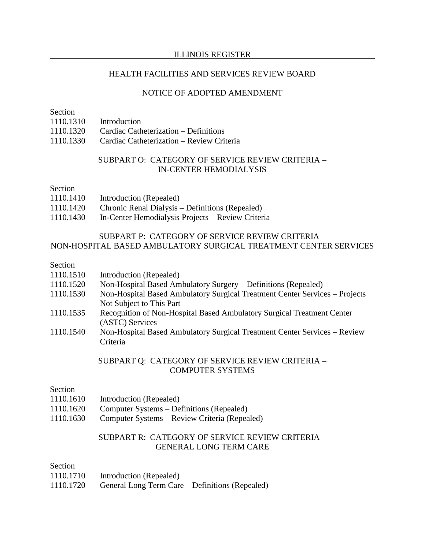## HEALTH FACILITIES AND SERVICES REVIEW BOARD

## NOTICE OF ADOPTED AMENDMENT

#### Section

| 1110.1310 | Introduction |
|-----------|--------------|
| 11101000  |              |

1110.1320 Cardiac Catheterization – Definitions

1110.1330 Cardiac Catheterization – Review Criteria

## SUBPART O: CATEGORY OF SERVICE REVIEW CRITERIA – IN-CENTER HEMODIALYSIS

#### Section

| 1110.1410 | Introduction (Repealed)                           |
|-----------|---------------------------------------------------|
| 1110.1420 | Chronic Renal Dialysis – Definitions (Repealed)   |
| 1110.1430 | In-Center Hemodialysis Projects – Review Criteria |

# SUBPART P: CATEGORY OF SERVICE REVIEW CRITERIA – NON-HOSPITAL BASED AMBULATORY SURGICAL TREATMENT CENTER SERVICES

#### Section

| 1110.1510 | Introduction (Repealed)                                                                   |
|-----------|-------------------------------------------------------------------------------------------|
| 1110.1520 | Non-Hospital Based Ambulatory Surgery - Definitions (Repealed)                            |
| 1110.1530 | Non-Hospital Based Ambulatory Surgical Treatment Center Services - Projects               |
|           | Not Subject to This Part                                                                  |
| 1110.1535 | Recognition of Non-Hospital Based Ambulatory Surgical Treatment Center<br>(ASTC) Services |
| 1110.1540 | Non-Hospital Based Ambulatory Surgical Treatment Center Services – Review<br>Criteria     |

# SUBPART Q: CATEGORY OF SERVICE REVIEW CRITERIA – COMPUTER SYSTEMS

#### Section

| 1110.1610 | Introduction (Repealed) |  |
|-----------|-------------------------|--|
|-----------|-------------------------|--|

- 1110.1620 Computer Systems Definitions (Repealed)
- 1110.1630 Computer Systems Review Criteria (Repealed)

## SUBPART R: CATEGORY OF SERVICE REVIEW CRITERIA – GENERAL LONG TERM CARE

## Section

1110.1720 General Long Term Care – Definitions (Repealed)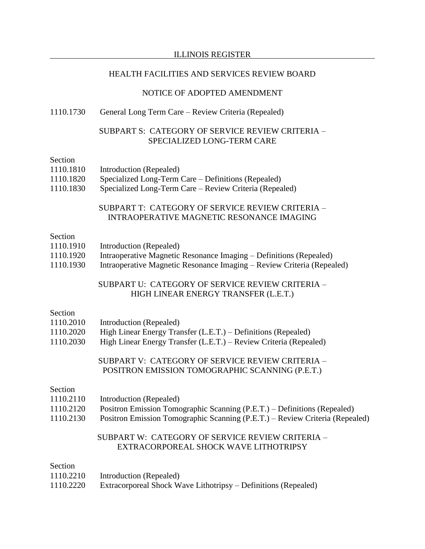#### HEALTH FACILITIES AND SERVICES REVIEW BOARD

## NOTICE OF ADOPTED AMENDMENT

#### 1110.1730 General Long Term Care – Review Criteria (Repealed)

#### SUBPART S: CATEGORY OF SERVICE REVIEW CRITERIA – SPECIALIZED LONG-TERM CARE

#### Section

| 1110.1810 | Introduction (Repealed)                                 |
|-----------|---------------------------------------------------------|
| 1110.1820 | Specialized Long-Term Care – Definitions (Repealed)     |
| 1110.1830 | Specialized Long-Term Care – Review Criteria (Repealed) |
|           | CUDDA DT T. CATECODY OF CEDVICE DEVIEW CDITEDI          |

#### SUBPART T: CATEGORY OF SERVICE REVIEW CRITERIA – INTRAOPERATIVE MAGNETIC RESONANCE IMAGING

## Section

| 1110.1910 | Introduction (Repealed)                                            |  |
|-----------|--------------------------------------------------------------------|--|
| 1110.1920 | Intraoperative Magnetic Resonance Imaging – Definitions (Repealed) |  |

1110.1930 Intraoperative Magnetic Resonance Imaging – Review Criteria (Repealed)

## SUBPART U: CATEGORY OF SERVICE REVIEW CRITERIA – HIGH LINEAR ENERGY TRANSFER (L.E.T.)

#### Section

| 1110.2010 | Introduction (Repealed)                                           |
|-----------|-------------------------------------------------------------------|
| 1110.2020 | High Linear Energy Transfer (L.E.T.) – Definitions (Repealed)     |
| 1110.2030 | High Linear Energy Transfer (L.E.T.) – Review Criteria (Repealed) |

# SUBPART V: CATEGORY OF SERVICE REVIEW CRITERIA – POSITRON EMISSION TOMOGRAPHIC SCANNING (P.E.T.)

# Section

| 1110.2110 | Introduction (Repealed)                                                  |
|-----------|--------------------------------------------------------------------------|
| 1110.2120 | Positron Emission Tomographic Scanning (P.E.T.) – Definitions (Repealed) |

1110.2130 Positron Emission Tomographic Scanning (P.E.T.) – Review Criteria (Repealed)

## SUBPART W: CATEGORY OF SERVICE REVIEW CRITERIA – EXTRACORPOREAL SHOCK WAVE LITHOTRIPSY

## Section

| 1110.2210 | Introduction (Repealed)                                        |
|-----------|----------------------------------------------------------------|
| 1110.2220 | Extracorporeal Shock Wave Lithotripsy – Definitions (Repealed) |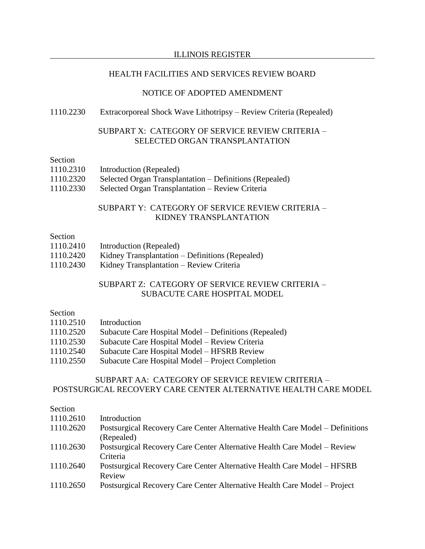#### HEALTH FACILITIES AND SERVICES REVIEW BOARD

## NOTICE OF ADOPTED AMENDMENT

#### 1110.2230 Extracorporeal Shock Wave Lithotripsy – Review Criteria (Repealed)

#### SUBPART X: CATEGORY OF SERVICE REVIEW CRITERIA – SELECTED ORGAN TRANSPLANTATION

#### Section

| 1110.2310 | Introduction (Repealed) |  |
|-----------|-------------------------|--|
|-----------|-------------------------|--|

- 1110.2320 Selected Organ Transplantation Definitions (Repealed)
- 1110.2330 Selected Organ Transplantation Review Criteria

#### SUBPART Y: CATEGORY OF SERVICE REVIEW CRITERIA – KIDNEY TRANSPLANTATION

## Section

- 1110.2410 Introduction (Repealed)
- 1110.2420 Kidney Transplantation Definitions (Repealed)
- 1110.2430 Kidney Transplantation Review Criteria

## SUBPART Z: CATEGORY OF SERVICE REVIEW CRITERIA – SUBACUTE CARE HOSPITAL MODEL

## Section

| 1110.2510 | Introduction                                          |
|-----------|-------------------------------------------------------|
| 1110.2520 | Subacute Care Hospital Model – Definitions (Repealed) |
| 1110.2530 | Subacute Care Hospital Model – Review Criteria        |
| 1110.2540 | Subacute Care Hospital Model - HFSRB Review           |
| 1110.2550 | Subacute Care Hospital Model – Project Completion     |

## SUBPART AA: CATEGORY OF SERVICE REVIEW CRITERIA – POSTSURGICAL RECOVERY CARE CENTER ALTERNATIVE HEALTH CARE MODEL

## Section

| 1110.2610 | Introduction                                                                  |
|-----------|-------------------------------------------------------------------------------|
| 1110.2620 | Postsurgical Recovery Care Center Alternative Health Care Model – Definitions |
|           | (Repealed)                                                                    |
| 1110.2630 | Postsurgical Recovery Care Center Alternative Health Care Model – Review      |
|           | Criteria                                                                      |
| 1110.2640 | Postsurgical Recovery Care Center Alternative Health Care Model – HFSRB       |
|           | Review                                                                        |
| 1110.2650 | Postsurgical Recovery Care Center Alternative Health Care Model – Project     |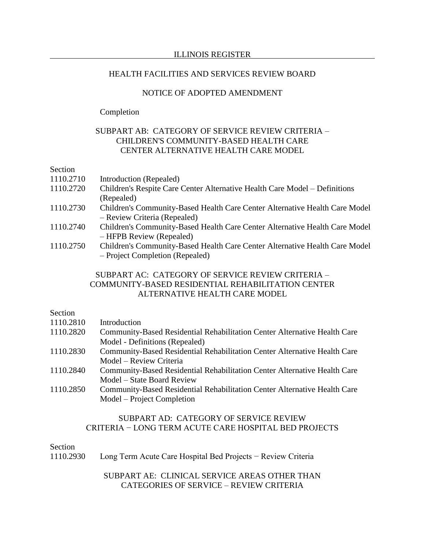## NOTICE OF ADOPTED AMENDMENT

## Completion

## SUBPART AB: CATEGORY OF SERVICE REVIEW CRITERIA – CHILDREN'S COMMUNITY-BASED HEALTH CARE CENTER ALTERNATIVE HEALTH CARE MODEL

## Section

| 1110.2710 | Introduction (Repealed)                                                     |
|-----------|-----------------------------------------------------------------------------|
| 1110.2720 | Children's Respite Care Center Alternative Health Care Model – Definitions  |
|           | (Repealed)                                                                  |
| 1110.2730 | Children's Community-Based Health Care Center Alternative Health Care Model |
|           | - Review Criteria (Repealed)                                                |
| 1110.2740 | Children's Community-Based Health Care Center Alternative Health Care Model |
|           | - HFPB Review (Repealed)                                                    |
| 1110.2750 | Children's Community-Based Health Care Center Alternative Health Care Model |
|           | - Project Completion (Repealed)                                             |

## SUBPART AC: CATEGORY OF SERVICE REVIEW CRITERIA – COMMUNITY-BASED RESIDENTIAL REHABILITATION CENTER ALTERNATIVE HEALTH CARE MODEL

## Section

| 1110.2810 | Introduction                                                                     |
|-----------|----------------------------------------------------------------------------------|
| 1110.2820 | <b>Community-Based Residential Rehabilitation Center Alternative Health Care</b> |
|           | Model - Definitions (Repealed)                                                   |
| 1110.2830 | Community-Based Residential Rehabilitation Center Alternative Health Care        |
|           | Model – Review Criteria                                                          |
| 1110.2840 | Community-Based Residential Rehabilitation Center Alternative Health Care        |
|           | Model – State Board Review                                                       |
| 1110.2850 | <b>Community-Based Residential Rehabilitation Center Alternative Health Care</b> |
|           | Model – Project Completion                                                       |

# SUBPART AD: CATEGORY OF SERVICE REVIEW CRITERIA − LONG TERM ACUTE CARE HOSPITAL BED PROJECTS

## Section

1110.2930 Long Term Acute Care Hospital Bed Projects − Review Criteria

# SUBPART AE: CLINICAL SERVICE AREAS OTHER THAN CATEGORIES OF SERVICE – REVIEW CRITERIA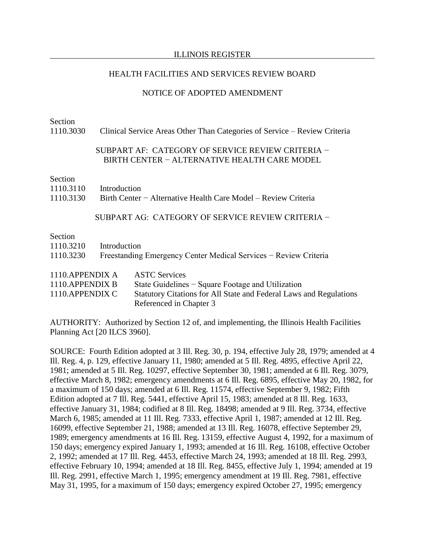#### HEALTH FACILITIES AND SERVICES REVIEW BOARD

#### NOTICE OF ADOPTED AMENDMENT

# Section

1110.3030 Clinical Service Areas Other Than Categories of Service – Review Criteria

# SUBPART AF: CATEGORY OF SERVICE REVIEW CRITERIA − BIRTH CENTER − ALTERNATIVE HEALTH CARE MODEL

#### Section

## 1110.3130 Birth Center − Alternative Health Care Model – Review Criteria

## SUBPART AG: CATEGORY OF SERVICE REVIEW CRITERIA −

# Section

| 1110.3210 | Introduction                                                     |
|-----------|------------------------------------------------------------------|
| 1110.3230 | Freestanding Emergency Center Medical Services - Review Criteria |
|           |                                                                  |

| 1110. APPENDIX A | <b>ASTC Services</b>                                                      |
|------------------|---------------------------------------------------------------------------|
| 1110. APPENDIX B | State Guidelines – Square Footage and Utilization                         |
| 1110. APPENDIX C | <b>Statutory Citations for All State and Federal Laws and Regulations</b> |
|                  | Referenced in Chapter 3                                                   |

AUTHORITY: Authorized by Section 12 of, and implementing, the Illinois Health Facilities Planning Act [20 ILCS 3960].

SOURCE: Fourth Edition adopted at 3 Ill. Reg. 30, p. 194, effective July 28, 1979; amended at 4 Ill. Reg. 4, p. 129, effective January 11, 1980; amended at 5 Ill. Reg. 4895, effective April 22, 1981; amended at 5 Ill. Reg. 10297, effective September 30, 1981; amended at 6 Ill. Reg. 3079, effective March 8, 1982; emergency amendments at 6 Ill. Reg. 6895, effective May 20, 1982, for a maximum of 150 days; amended at 6 Ill. Reg. 11574, effective September 9, 1982; Fifth Edition adopted at 7 Ill. Reg. 5441, effective April 15, 1983; amended at 8 Ill. Reg. 1633, effective January 31, 1984; codified at 8 Ill. Reg. 18498; amended at 9 Ill. Reg. 3734, effective March 6, 1985; amended at 11 Ill. Reg. 7333, effective April 1, 1987; amended at 12 Ill. Reg. 16099, effective September 21, 1988; amended at 13 Ill. Reg. 16078, effective September 29, 1989; emergency amendments at 16 Ill. Reg. 13159, effective August 4, 1992, for a maximum of 150 days; emergency expired January 1, 1993; amended at 16 Ill. Reg. 16108, effective October 2, 1992; amended at 17 Ill. Reg. 4453, effective March 24, 1993; amended at 18 Ill. Reg. 2993, effective February 10, 1994; amended at 18 Ill. Reg. 8455, effective July 1, 1994; amended at 19 Ill. Reg. 2991, effective March 1, 1995; emergency amendment at 19 Ill. Reg. 7981, effective May 31, 1995, for a maximum of 150 days; emergency expired October 27, 1995; emergency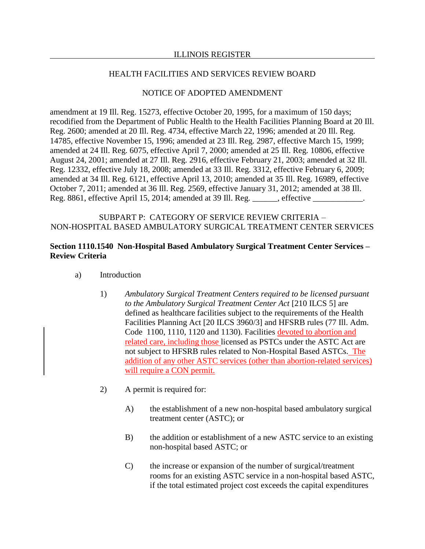## HEALTH FACILITIES AND SERVICES REVIEW BOARD

## NOTICE OF ADOPTED AMENDMENT

amendment at 19 Ill. Reg. 15273, effective October 20, 1995, for a maximum of 150 days; recodified from the Department of Public Health to the Health Facilities Planning Board at 20 Ill. Reg. 2600; amended at 20 Ill. Reg. 4734, effective March 22, 1996; amended at 20 Ill. Reg. 14785, effective November 15, 1996; amended at 23 Ill. Reg. 2987, effective March 15, 1999; amended at 24 Ill. Reg. 6075, effective April 7, 2000; amended at 25 Ill. Reg. 10806, effective August 24, 2001; amended at 27 Ill. Reg. 2916, effective February 21, 2003; amended at 32 Ill. Reg. 12332, effective July 18, 2008; amended at 33 Ill. Reg. 3312, effective February 6, 2009; amended at 34 Ill. Reg. 6121, effective April 13, 2010; amended at 35 Ill. Reg. 16989, effective October 7, 2011; amended at 36 Ill. Reg. 2569, effective January 31, 2012; amended at 38 Ill. Reg. 8861, effective April 15, 2014; amended at 39 Ill. Reg. \_\_\_\_\_\_, effective \_\_\_\_\_\_\_\_\_\_\_\_.

SUBPART P: CATEGORY OF SERVICE REVIEW CRITERIA – NON-HOSPITAL BASED AMBULATORY SURGICAL TREATMENT CENTER SERVICES

#### **Section 1110.1540 Non-Hospital Based Ambulatory Surgical Treatment Center Services – Review Criteria**

- a) Introduction
	- 1) *Ambulatory Surgical Treatment Centers required to be licensed pursuant to the Ambulatory Surgical Treatment Center Act* [210 ILCS 5] are defined as healthcare facilities subject to the requirements of the Health Facilities Planning Act [20 ILCS 3960/3] and HFSRB rules (77 Ill. Adm. Code 1100, 1110, 1120 and 1130). Facilities devoted to abortion and related care, including those licensed as PSTCs under the ASTC Act are not subject to HFSRB rules related to Non-Hospital Based ASTCs. The addition of any other ASTC services (other than abortion-related services) will require a CON permit.
	- 2) A permit is required for:
		- A) the establishment of a new non-hospital based ambulatory surgical treatment center (ASTC); or
		- B) the addition or establishment of a new ASTC service to an existing non-hospital based ASTC; or
		- C) the increase or expansion of the number of surgical/treatment rooms for an existing ASTC service in a non-hospital based ASTC, if the total estimated project cost exceeds the capital expenditures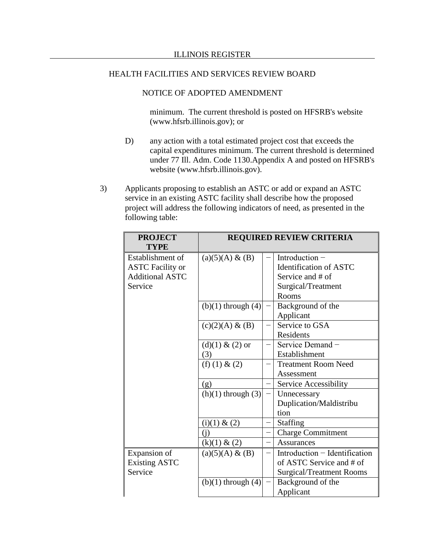# NOTICE OF ADOPTED AMENDMENT

minimum. The current threshold is posted on HFSRB's website (www.hfsrb.illinois.gov); or

- D) any action with a total estimated project cost that exceeds the capital expenditures minimum. The current threshold is determined under 77 Ill. Adm. Code 1130.Appendix A and posted on HFSRB's website (www.hfsrb.illinois.gov).
- 3) Applicants proposing to establish an ASTC or add or expand an ASTC service in an existing ASTC facility shall describe how the proposed project will address the following indicators of need, as presented in the following table:

| <b>PROJECT</b><br><b>TYPE</b> |                        |                          | <b>REQUIRED REVIEW CRITERIA</b> |
|-------------------------------|------------------------|--------------------------|---------------------------------|
| Establishment of              | (a)(5)(A) & (B)        |                          | Introduction $-$                |
| <b>ASTC</b> Facility or       |                        |                          | <b>Identification of ASTC</b>   |
| <b>Additional ASTC</b>        |                        |                          | Service and # of                |
| Service                       |                        |                          | Surgical/Treatment              |
|                               |                        |                          | Rooms                           |
|                               | $(b)(1)$ through $(4)$ |                          | Background of the               |
|                               |                        |                          | Applicant                       |
|                               | (c)(2)(A) & (B)        |                          | Service to GSA                  |
|                               |                        |                          | Residents                       |
|                               | $(d)(1) & (2)$ or      |                          | Service Demand-                 |
|                               | (3)                    |                          | Establishment                   |
|                               | (f) (1) $& (2)$        |                          | <b>Treatment Room Need</b>      |
|                               |                        |                          | Assessment                      |
|                               | (g)                    |                          | Service Accessibility           |
|                               | $(h)(1)$ through $(3)$ | -                        | Unnecessary                     |
|                               |                        |                          | Duplication/Maldistribu         |
|                               |                        |                          | tion                            |
|                               | (i)(1) & (2)           |                          | <b>Staffing</b>                 |
|                               | (i)                    | $\overline{\phantom{0}}$ | <b>Charge Commitment</b>        |
|                               | $(k)(1)$ & $(2)$       | $\overline{\phantom{0}}$ | <b>Assurances</b>               |
| Expansion of                  | (a)(5)(A) & (B)        | —                        | Introduction - Identification   |
| <b>Existing ASTC</b>          |                        |                          | of ASTC Service and # of        |
| Service                       |                        |                          | <b>Surgical/Treatment Rooms</b> |
|                               | $(b)(1)$ through $(4)$ |                          | Background of the               |
|                               |                        |                          | Applicant                       |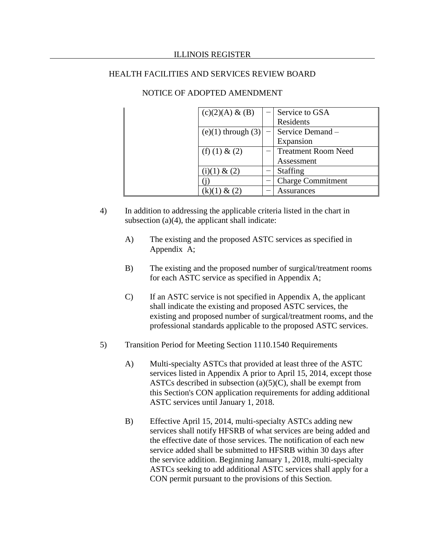| (c)(2)(A) & (B)        | Service to GSA             |
|------------------------|----------------------------|
|                        | Residents                  |
| $(e)(1)$ through $(3)$ | Service Demand -           |
|                        | Expansion                  |
| (f) (1) $& (2)$        | <b>Treatment Room Need</b> |
|                        | Assessment                 |
| $(i)(1) \& (2)$        | <b>Staffing</b>            |
|                        | <b>Charge Commitment</b>   |
|                        | Assurances                 |

- 4) In addition to addressing the applicable criteria listed in the chart in subsection  $(a)(4)$ , the applicant shall indicate:
	- A) The existing and the proposed ASTC services as specified in Appendix A;
	- B) The existing and the proposed number of surgical/treatment rooms for each ASTC service as specified in Appendix A;
	- C) If an ASTC service is not specified in Appendix A, the applicant shall indicate the existing and proposed ASTC services, the existing and proposed number of surgical/treatment rooms, and the professional standards applicable to the proposed ASTC services.
- 5) Transition Period for Meeting Section 1110.1540 Requirements
	- A) Multi-specialty ASTCs that provided at least three of the ASTC services listed in Appendix A prior to April 15, 2014, except those ASTCs described in subsection  $(a)(5)(C)$ , shall be exempt from this Section's CON application requirements for adding additional ASTC services until January 1, 2018.
	- B) Effective April 15, 2014, multi-specialty ASTCs adding new services shall notify HFSRB of what services are being added and the effective date of those services. The notification of each new service added shall be submitted to HFSRB within 30 days after the service addition. Beginning January 1, 2018, multi-specialty ASTCs seeking to add additional ASTC services shall apply for a CON permit pursuant to the provisions of this Section.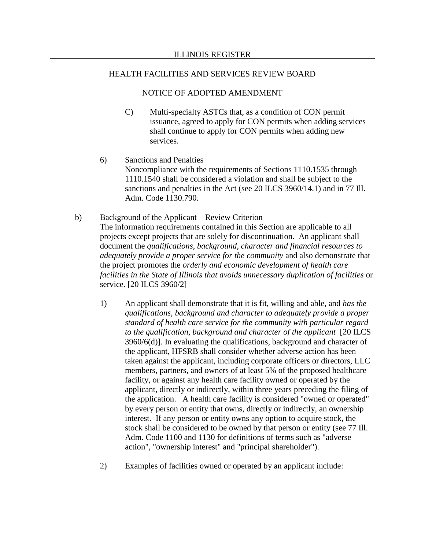- C) Multi-specialty ASTCs that, as a condition of CON permit issuance, agreed to apply for CON permits when adding services shall continue to apply for CON permits when adding new services.
- 6) Sanctions and Penalties Noncompliance with the requirements of Sections 1110.1535 through 1110.1540 shall be considered a violation and shall be subject to the sanctions and penalties in the Act (see 20 ILCS 3960/14.1) and in 77 Ill. Adm. Code 1130.790.
- b) Background of the Applicant Review Criterion The information requirements contained in this Section are applicable to all projects except projects that are solely for discontinuation. An applicant shall document the *qualifications, background, character and financial resources to adequately provide a proper service for the community* and also demonstrate that the project promotes the *orderly and economic development of health care facilities in the State of Illinois that avoids unnecessary duplication of facilities* or service. [20 ILCS 3960/2]
	- 1) An applicant shall demonstrate that it is fit, willing and able, and *has the qualifications, background and character to adequately provide a proper standard of health care service for the community with particular regard to the qualification, background and character of the applicant* [20 ILCS 3960/6(d)]. In evaluating the qualifications, background and character of the applicant, HFSRB shall consider whether adverse action has been taken against the applicant, including corporate officers or directors, LLC members, partners, and owners of at least 5% of the proposed healthcare facility, or against any health care facility owned or operated by the applicant, directly or indirectly, within three years preceding the filing of the application. A health care facility is considered "owned or operated" by every person or entity that owns, directly or indirectly, an ownership interest. If any person or entity owns any option to acquire stock, the stock shall be considered to be owned by that person or entity (see 77 Ill. Adm. Code 1100 and 1130 for definitions of terms such as "adverse action", "ownership interest" and "principal shareholder").
	- 2) Examples of facilities owned or operated by an applicant include: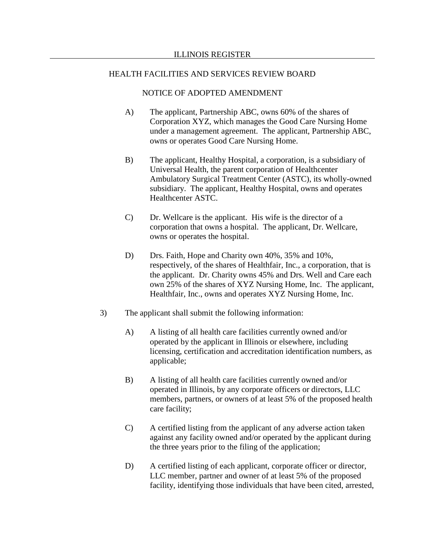- A) The applicant, Partnership ABC, owns 60% of the shares of Corporation XYZ, which manages the Good Care Nursing Home under a management agreement. The applicant, Partnership ABC, owns or operates Good Care Nursing Home.
- B) The applicant, Healthy Hospital, a corporation, is a subsidiary of Universal Health, the parent corporation of Healthcenter Ambulatory Surgical Treatment Center (ASTC), its wholly-owned subsidiary. The applicant, Healthy Hospital, owns and operates Healthcenter ASTC.
- C) Dr. Wellcare is the applicant. His wife is the director of a corporation that owns a hospital. The applicant, Dr. Wellcare, owns or operates the hospital.
- D) Drs. Faith, Hope and Charity own 40%, 35% and 10%, respectively, of the shares of Healthfair, Inc., a corporation, that is the applicant. Dr. Charity owns 45% and Drs. Well and Care each own 25% of the shares of XYZ Nursing Home, Inc. The applicant, Healthfair, Inc., owns and operates XYZ Nursing Home, Inc.
- 3) The applicant shall submit the following information:
	- A) A listing of all health care facilities currently owned and/or operated by the applicant in Illinois or elsewhere, including licensing, certification and accreditation identification numbers, as applicable;
	- B) A listing of all health care facilities currently owned and/or operated in Illinois, by any corporate officers or directors, LLC members, partners, or owners of at least 5% of the proposed health care facility;
	- C) A certified listing from the applicant of any adverse action taken against any facility owned and/or operated by the applicant during the three years prior to the filing of the application;
	- D) A certified listing of each applicant, corporate officer or director, LLC member, partner and owner of at least 5% of the proposed facility, identifying those individuals that have been cited, arrested,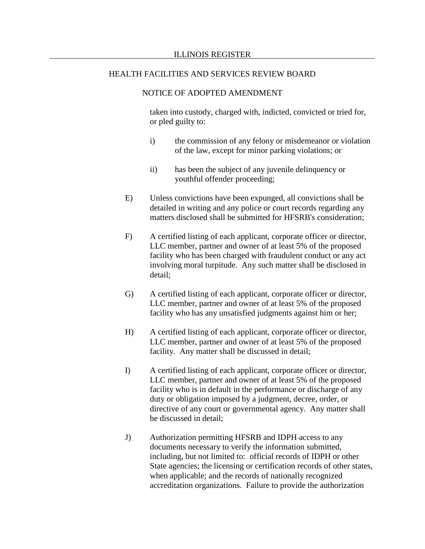#### NOTICE OF ADOPTED AMENDMENT

taken into custody, charged with, indicted, convicted or tried for, or pled guilty to:

- i) the commission of any felony or misdemeanor or violation of the law, except for minor parking violations; or
- ii) has been the subject of any juvenile delinquency or youthful offender proceeding;
- E) Unless convictions have been expunged, all convictions shall be detailed in writing and any police or court records regarding any matters disclosed shall be submitted for HFSRB's consideration;
- F) A certified listing of each applicant, corporate officer or director, LLC member, partner and owner of at least 5% of the proposed facility who has been charged with fraudulent conduct or any act involving moral turpitude. Any such matter shall be disclosed in detail;
- G) A certified listing of each applicant, corporate officer or director, LLC member, partner and owner of at least 5% of the proposed facility who has any unsatisfied judgments against him or her;
- H) A certified listing of each applicant, corporate officer or director, LLC member, partner and owner of at least 5% of the proposed facility. Any matter shall be discussed in detail;
- I) A certified listing of each applicant, corporate officer or director, LLC member, partner and owner of at least 5% of the proposed facility who is in default in the performance or discharge of any duty or obligation imposed by a judgment, decree, order, or directive of any court or governmental agency. Any matter shall be discussed in detail;
- J) Authorization permitting HFSRB and IDPH access to any documents necessary to verify the information submitted, including, but not limited to: official records of IDPH or other State agencies; the licensing or certification records of other states, when applicable; and the records of nationally recognized accreditation organizations. Failure to provide the authorization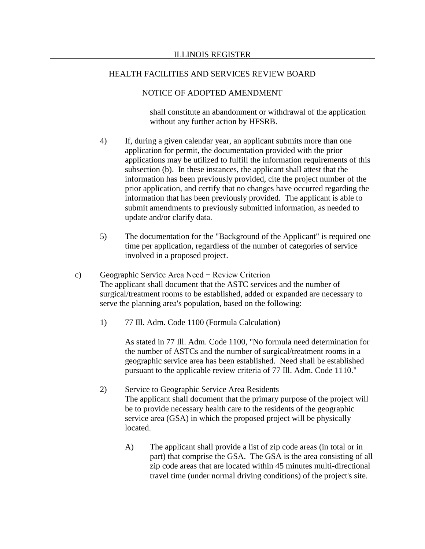#### NOTICE OF ADOPTED AMENDMENT

shall constitute an abandonment or withdrawal of the application without any further action by HFSRB.

- 4) If, during a given calendar year, an applicant submits more than one application for permit, the documentation provided with the prior applications may be utilized to fulfill the information requirements of this subsection (b). In these instances, the applicant shall attest that the information has been previously provided, cite the project number of the prior application, and certify that no changes have occurred regarding the information that has been previously provided. The applicant is able to submit amendments to previously submitted information, as needed to update and/or clarify data.
- 5) The documentation for the "Background of the Applicant" is required one time per application, regardless of the number of categories of service involved in a proposed project.
- c) Geographic Service Area Need − Review Criterion The applicant shall document that the ASTC services and the number of surgical/treatment rooms to be established, added or expanded are necessary to serve the planning area's population, based on the following:
	- 1) 77 Ill. Adm. Code 1100 (Formula Calculation)

As stated in 77 Ill. Adm. Code 1100, "No formula need determination for the number of ASTCs and the number of surgical/treatment rooms in a geographic service area has been established. Need shall be established pursuant to the applicable review criteria of 77 Ill. Adm. Code 1110."

- 2) Service to Geographic Service Area Residents The applicant shall document that the primary purpose of the project will be to provide necessary health care to the residents of the geographic service area (GSA) in which the proposed project will be physically located.
	- A) The applicant shall provide a list of zip code areas (in total or in part) that comprise the GSA. The GSA is the area consisting of all zip code areas that are located within 45 minutes multi-directional travel time (under normal driving conditions) of the project's site.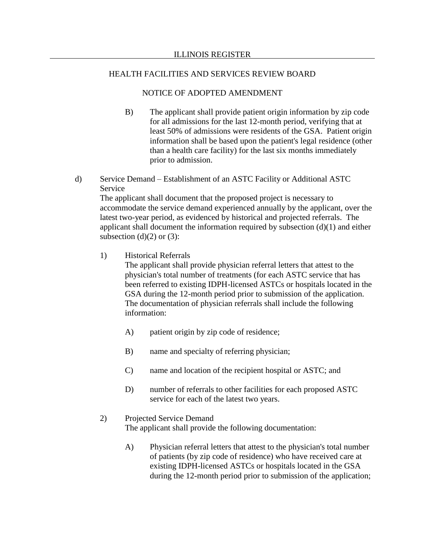# NOTICE OF ADOPTED AMENDMENT

- B) The applicant shall provide patient origin information by zip code for all admissions for the last 12-month period, verifying that at least 50% of admissions were residents of the GSA. Patient origin information shall be based upon the patient's legal residence (other than a health care facility) for the last six months immediately prior to admission.
- d) Service Demand Establishment of an ASTC Facility or Additional ASTC **Service**

The applicant shall document that the proposed project is necessary to accommodate the service demand experienced annually by the applicant, over the latest two-year period, as evidenced by historical and projected referrals. The applicant shall document the information required by subsection (d)(1) and either subsection (d) $(2)$  or  $(3)$ :

1) Historical Referrals

The applicant shall provide physician referral letters that attest to the physician's total number of treatments (for each ASTC service that has been referred to existing IDPH-licensed ASTCs or hospitals located in the GSA during the 12-month period prior to submission of the application. The documentation of physician referrals shall include the following information:

- A) patient origin by zip code of residence;
- B) name and specialty of referring physician;
- C) name and location of the recipient hospital or ASTC; and
- D) number of referrals to other facilities for each proposed ASTC service for each of the latest two years.
- 2) Projected Service Demand The applicant shall provide the following documentation:
	- A) Physician referral letters that attest to the physician's total number of patients (by zip code of residence) who have received care at existing IDPH-licensed ASTCs or hospitals located in the GSA during the 12-month period prior to submission of the application;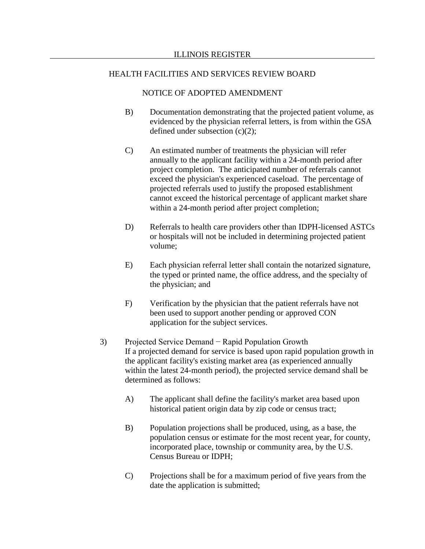- B) Documentation demonstrating that the projected patient volume, as evidenced by the physician referral letters, is from within the GSA defined under subsection (c)(2);
- C) An estimated number of treatments the physician will refer annually to the applicant facility within a 24-month period after project completion. The anticipated number of referrals cannot exceed the physician's experienced caseload. The percentage of projected referrals used to justify the proposed establishment cannot exceed the historical percentage of applicant market share within a 24-month period after project completion;
- D) Referrals to health care providers other than IDPH-licensed ASTCs or hospitals will not be included in determining projected patient volume;
- E) Each physician referral letter shall contain the notarized signature, the typed or printed name, the office address, and the specialty of the physician; and
- F) Verification by the physician that the patient referrals have not been used to support another pending or approved CON application for the subject services.
- 3) Projected Service Demand − Rapid Population Growth If a projected demand for service is based upon rapid population growth in the applicant facility's existing market area (as experienced annually within the latest 24-month period), the projected service demand shall be determined as follows:
	- A) The applicant shall define the facility's market area based upon historical patient origin data by zip code or census tract;
	- B) Population projections shall be produced, using, as a base, the population census or estimate for the most recent year, for county, incorporated place, township or community area, by the U.S. Census Bureau or IDPH;
	- C) Projections shall be for a maximum period of five years from the date the application is submitted;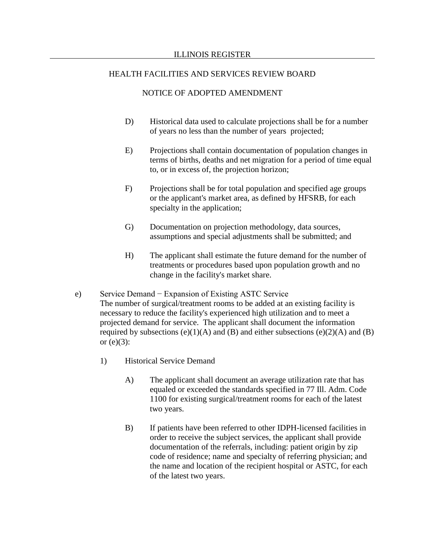- D) Historical data used to calculate projections shall be for a number of years no less than the number of years projected;
- E) Projections shall contain documentation of population changes in terms of births, deaths and net migration for a period of time equal to, or in excess of, the projection horizon;
- F) Projections shall be for total population and specified age groups or the applicant's market area, as defined by HFSRB, for each specialty in the application;
- G) Documentation on projection methodology, data sources, assumptions and special adjustments shall be submitted; and
- H) The applicant shall estimate the future demand for the number of treatments or procedures based upon population growth and no change in the facility's market share.
- e) Service Demand − Expansion of Existing ASTC Service The number of surgical/treatment rooms to be added at an existing facility is necessary to reduce the facility's experienced high utilization and to meet a projected demand for service. The applicant shall document the information required by subsections (e)(1)(A) and (B) and either subsections (e)(2)(A) and (B) or  $(e)(3)$ :
	- 1) Historical Service Demand
		- A) The applicant shall document an average utilization rate that has equaled or exceeded the standards specified in 77 Ill. Adm. Code 1100 for existing surgical/treatment rooms for each of the latest two years.
		- B) If patients have been referred to other IDPH-licensed facilities in order to receive the subject services, the applicant shall provide documentation of the referrals, including: patient origin by zip code of residence; name and specialty of referring physician; and the name and location of the recipient hospital or ASTC, for each of the latest two years.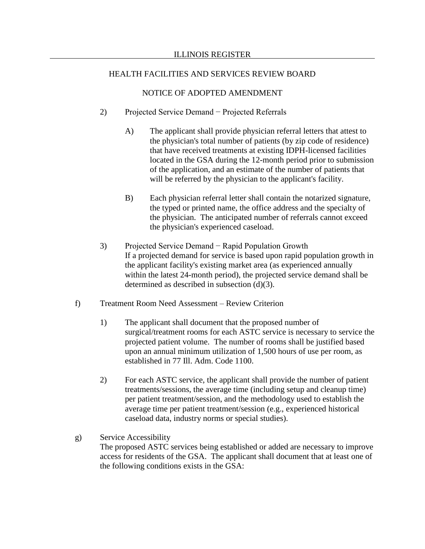# NOTICE OF ADOPTED AMENDMENT

# 2) Projected Service Demand − Projected Referrals

- A) The applicant shall provide physician referral letters that attest to the physician's total number of patients (by zip code of residence) that have received treatments at existing IDPH-licensed facilities located in the GSA during the 12-month period prior to submission of the application, and an estimate of the number of patients that will be referred by the physician to the applicant's facility.
- B) Each physician referral letter shall contain the notarized signature, the typed or printed name, the office address and the specialty of the physician. The anticipated number of referrals cannot exceed the physician's experienced caseload.
- 3) Projected Service Demand − Rapid Population Growth If a projected demand for service is based upon rapid population growth in the applicant facility's existing market area (as experienced annually within the latest 24-month period), the projected service demand shall be determined as described in subsection (d)(3).
- f) Treatment Room Need Assessment Review Criterion
	- 1) The applicant shall document that the proposed number of surgical/treatment rooms for each ASTC service is necessary to service the projected patient volume. The number of rooms shall be justified based upon an annual minimum utilization of 1,500 hours of use per room, as established in 77 Ill. Adm. Code 1100.
	- 2) For each ASTC service, the applicant shall provide the number of patient treatments/sessions, the average time (including setup and cleanup time) per patient treatment/session, and the methodology used to establish the average time per patient treatment/session (e.g., experienced historical caseload data, industry norms or special studies).
- g) Service Accessibility

The proposed ASTC services being established or added are necessary to improve access for residents of the GSA. The applicant shall document that at least one of the following conditions exists in the GSA: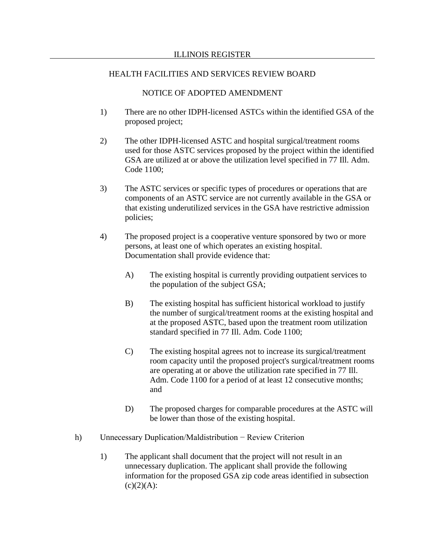- 1) There are no other IDPH-licensed ASTCs within the identified GSA of the proposed project;
- 2) The other IDPH-licensed ASTC and hospital surgical/treatment rooms used for those ASTC services proposed by the project within the identified GSA are utilized at or above the utilization level specified in 77 Ill. Adm. Code 1100;
- 3) The ASTC services or specific types of procedures or operations that are components of an ASTC service are not currently available in the GSA or that existing underutilized services in the GSA have restrictive admission policies;
- 4) The proposed project is a cooperative venture sponsored by two or more persons, at least one of which operates an existing hospital. Documentation shall provide evidence that:
	- A) The existing hospital is currently providing outpatient services to the population of the subject GSA;
	- B) The existing hospital has sufficient historical workload to justify the number of surgical/treatment rooms at the existing hospital and at the proposed ASTC, based upon the treatment room utilization standard specified in 77 Ill. Adm. Code 1100;
	- C) The existing hospital agrees not to increase its surgical/treatment room capacity until the proposed project's surgical/treatment rooms are operating at or above the utilization rate specified in 77 Ill. Adm. Code 1100 for a period of at least 12 consecutive months; and
	- D) The proposed charges for comparable procedures at the ASTC will be lower than those of the existing hospital.
- h) Unnecessary Duplication/Maldistribution − Review Criterion
	- 1) The applicant shall document that the project will not result in an unnecessary duplication. The applicant shall provide the following information for the proposed GSA zip code areas identified in subsection  $(c)(2)(A)$ :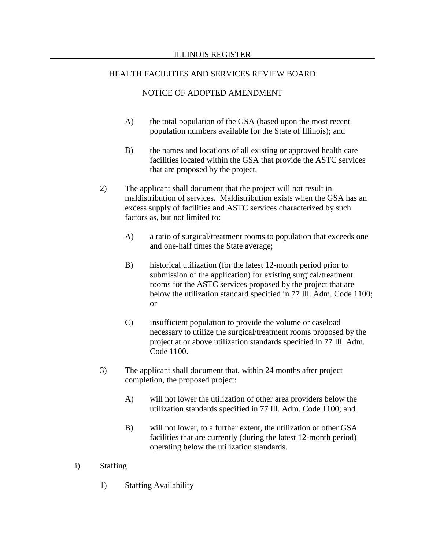- A) the total population of the GSA (based upon the most recent population numbers available for the State of Illinois); and
- B) the names and locations of all existing or approved health care facilities located within the GSA that provide the ASTC services that are proposed by the project.
- 2) The applicant shall document that the project will not result in maldistribution of services. Maldistribution exists when the GSA has an excess supply of facilities and ASTC services characterized by such factors as, but not limited to:
	- A) a ratio of surgical/treatment rooms to population that exceeds one and one-half times the State average;
	- B) historical utilization (for the latest 12-month period prior to submission of the application) for existing surgical/treatment rooms for the ASTC services proposed by the project that are below the utilization standard specified in 77 Ill. Adm. Code 1100; or
	- C) insufficient population to provide the volume or caseload necessary to utilize the surgical/treatment rooms proposed by the project at or above utilization standards specified in 77 Ill. Adm. Code 1100.
- 3) The applicant shall document that, within 24 months after project completion, the proposed project:
	- A) will not lower the utilization of other area providers below the utilization standards specified in 77 Ill. Adm. Code 1100; and
	- B) will not lower, to a further extent, the utilization of other GSA facilities that are currently (during the latest 12-month period) operating below the utilization standards.
- i) Staffing
	- 1) Staffing Availability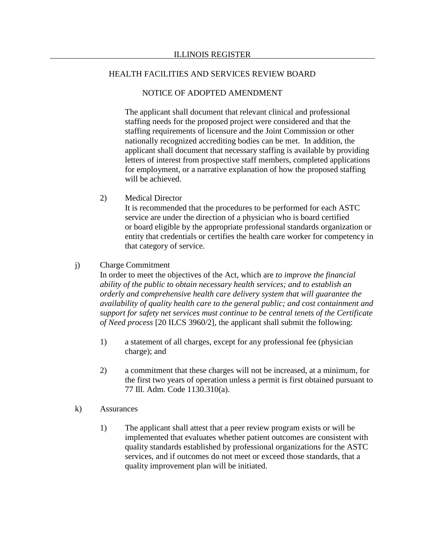#### NOTICE OF ADOPTED AMENDMENT

The applicant shall document that relevant clinical and professional staffing needs for the proposed project were considered and that the staffing requirements of licensure and the Joint Commission or other nationally recognized accrediting bodies can be met. In addition, the applicant shall document that necessary staffing is available by providing letters of interest from prospective staff members, completed applications for employment, or a narrative explanation of how the proposed staffing will be achieved.

2) Medical Director

It is recommended that the procedures to be performed for each ASTC service are under the direction of a physician who is board certified or board eligible by the appropriate professional standards organization or entity that credentials or certifies the health care worker for competency in that category of service.

j) Charge Commitment

In order to meet the objectives of the Act, which are *to improve the financial ability of the public to obtain necessary health services; and to establish an orderly and comprehensive health care delivery system that will guarantee the availability of quality health care to the general public; and cost containment and support for safety net services must continue to be central tenets of the Certificate of Need process* [20 ILCS 3960/2], the applicant shall submit the following:

- 1) a statement of all charges, except for any professional fee (physician charge); and
- 2) a commitment that these charges will not be increased, at a minimum, for the first two years of operation unless a permit is first obtained pursuant to 77 Ill. Adm. Code 1130.310(a).
- k) Assurances
	- 1) The applicant shall attest that a peer review program exists or will be implemented that evaluates whether patient outcomes are consistent with quality standards established by professional organizations for the ASTC services, and if outcomes do not meet or exceed those standards, that a quality improvement plan will be initiated.